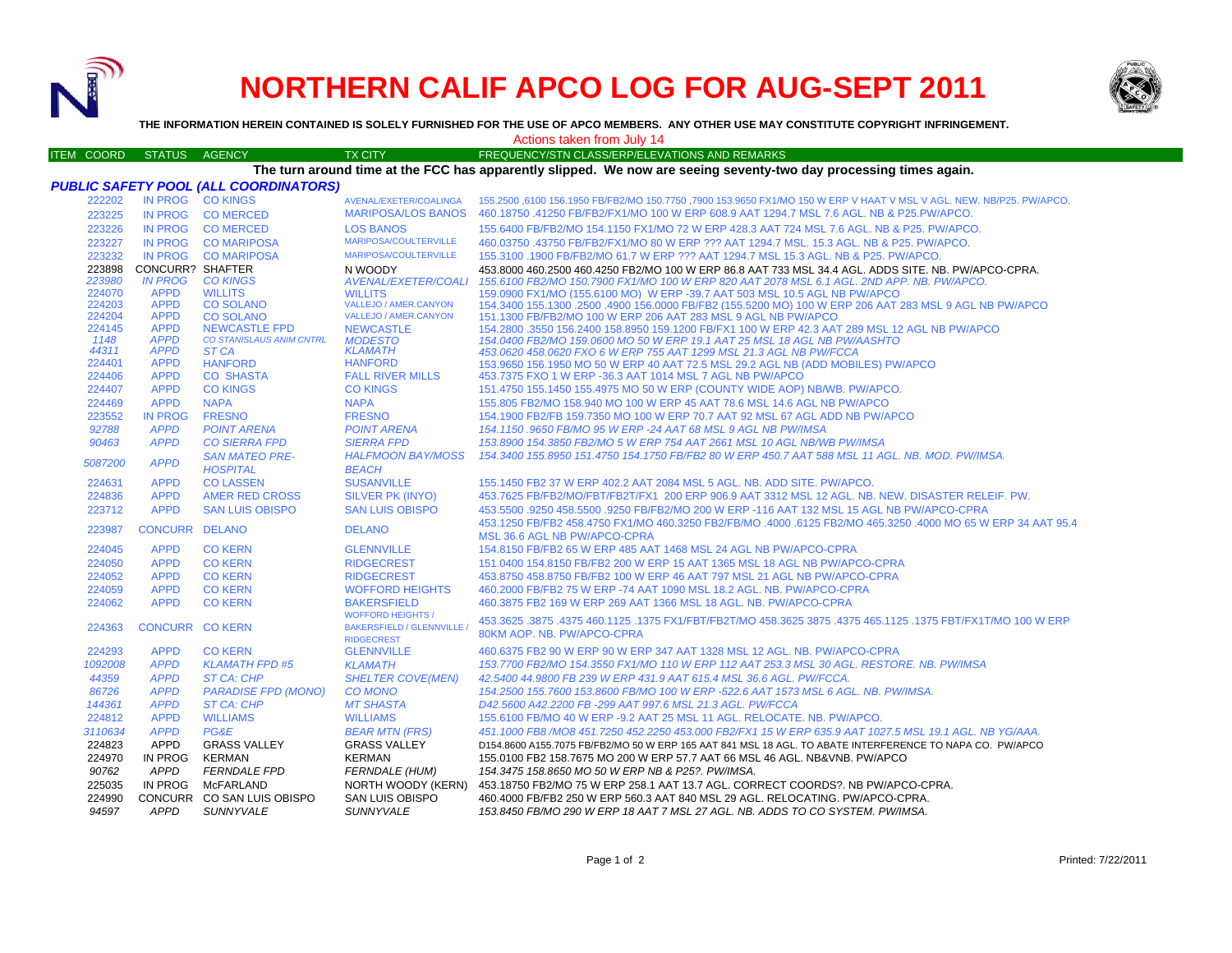

## **NORTHERN CALIF APCO LOG FOR AUG-SEPT 2011**



**THE INFORMATION HEREIN CONTAINED IS SOLELY FURNISHED FOR THE USE OF APCO MEMBERS. ANY OTHER USE MAY CONSTITUTE COPYRIGHT INFRINGEMENT.**

Actions taken from July 14

| <b>ITEM COORD</b>                            | <b>STATUS</b>              | <b>AGENCY</b>                            | <b>TX CITY</b>                    | FREQUENCY/STN CLASS/ERP/ELEVATIONS AND REMARKS                                                                                                        |  |  |  |  |  |
|----------------------------------------------|----------------------------|------------------------------------------|-----------------------------------|-------------------------------------------------------------------------------------------------------------------------------------------------------|--|--|--|--|--|
|                                              |                            |                                          |                                   | The turn around time at the FCC has apparently slipped. We now are seeing seventy-two day processing times again.                                     |  |  |  |  |  |
| <b>PUBLIC SAFETY POOL (ALL COORDINATORS)</b> |                            |                                          |                                   |                                                                                                                                                       |  |  |  |  |  |
| 222202                                       |                            | IN PROG CO KINGS                         | AVENAL/EXETER/COALINGA            | 155.2500 ,6100 156.1950 FB/FB2/MO 150.7750 ,7900 153.9650 FX1/MO 150 W ERP V HAAT V MSL V AGL. NEW. NB/P25. PW/APCO.                                  |  |  |  |  |  |
| 223225                                       | <b>IN PROG</b>             | <b>CO MERCED</b>                         | <b>MARIPOSA/LOS BANOS</b>         | 460.18750 .41250 FB/FB2/FX1/MO 100 W ERP 608.9 AAT 1294.7 MSL 7.6 AGL. NB & P25.PW/APCO.                                                              |  |  |  |  |  |
| 223226                                       | <b>IN PROG</b>             | <b>CO MERCED</b>                         | <b>LOS BANOS</b>                  | 155.6400 FB/FB2/MO 154.1150 FX1/MO 72 W ERP 428.3 AAT 724 MSL 7.6 AGL. NB & P25. PW/APCO.                                                             |  |  |  |  |  |
| 223227                                       | <b>IN PROG</b>             | <b>CO MARIPOSA</b>                       | MARIPOSA/COULTERVILLE             | 460.03750 .43750 FB/FB2/FX1/MO 80 W ERP ??? AAT 1294.7 MSL, 15.3 AGL, NB & P25, PW/APCO.                                                              |  |  |  |  |  |
| 223232                                       | <b>IN PROG</b>             | <b>CO MARIPOSA</b>                       | <b>MARIPOSA/COULTERVILLE</b>      | 155,3100 .1900 FB/FB2/MO 61.7 W ERP ??? AAT 1294.7 MSL 15.3 AGL, NB & P25, PW/APCO.                                                                   |  |  |  |  |  |
| 223898                                       | <b>CONCURR? SHAFTER</b>    |                                          | N WOODY                           | 453.8000 460.2500 460.4250 FB2/MO 100 W ERP 86.8 AAT 733 MSL 34.4 AGL. ADDS SITE. NB. PW/APCO-CPRA.                                                   |  |  |  |  |  |
| 223980                                       | <b>IN PROG</b>             | <b>CO KINGS</b>                          | <b>AVENAL/EXETER/COALI</b>        | 155.6100 FB2/MO 150.7900 FX1/MO 100 W ERP 820 AAT 2078 MSL 6.1 AGL. 2ND APP. NB. PW/APCO.                                                             |  |  |  |  |  |
| 224070                                       | <b>APPD</b>                | <b>WILLITS</b>                           | <b>WILLITS</b>                    | 159.0900 FX1/MO (155.6100 MO) W ERP -39.7 AAT 503 MSL 10.5 AGL NB PW/APCO                                                                             |  |  |  |  |  |
| 224203                                       | <b>APPD</b>                | <b>CO SOLANO</b>                         | VALLEJO / AMER.CANYON             | 154.3400 155.1300 .2500 .4900 156.0000 FB/FB2 (155.5200 MO) 100 W ERP 206 AAT 283 MSL 9 AGL NB PW/APCO                                                |  |  |  |  |  |
| 224204                                       | <b>APPD</b>                | <b>CO SOLANO</b>                         | <b>VALLEJO / AMER.CANYON</b>      | 151.1300 FB/FB2/MO 100 W ERP 206 AAT 283 MSL 9 AGL NB PW/APCO                                                                                         |  |  |  |  |  |
| 224145                                       | <b>APPD</b>                | <b>NEWCASTLE FPD</b>                     | <b>NEWCASTLE</b>                  | 154.2800 .3550 156.2400 158.8950 159.1200 FB/FX1 100 W ERP 42.3 AAT 289 MSL 12 AGL NB PW/APCO                                                         |  |  |  |  |  |
| 1148<br>44311                                | <b>APPD</b><br><b>APPD</b> | <b>CO STANISLAUS ANIM CNTRL</b><br>ST CA | <b>MODESTO</b><br><b>KLAMATH</b>  | 154.0400 FB2/MO 159.0600 MO 50 W ERP 19.1 AAT 25 MSL 18 AGL NB PW/AASHTO                                                                              |  |  |  |  |  |
| 224401                                       | <b>APPD</b>                | <b>HANFORD</b>                           | <b>HANFORD</b>                    | 453.0620 458.0620 FXO 6 W ERP 755 AAT 1299 MSL 21.3 AGL NB PW/FCCA<br>153.9650 156.1950 MO 50 W ERP 40 AAT 72.5 MSL 29.2 AGL NB (ADD MOBILES) PW/APCO |  |  |  |  |  |
| 224406                                       | <b>APPD</b>                | <b>CO SHASTA</b>                         | <b>FALL RIVER MILLS</b>           | 453.7375 FXO 1 W ERP -36.3 AAT 1014 MSL 7 AGL NB PW/APCO                                                                                              |  |  |  |  |  |
| 224407                                       | <b>APPD</b>                | <b>CO KINGS</b>                          | <b>CO KINGS</b>                   | 151.4750 155.1450 155.4975 MO 50 W ERP (COUNTY WIDE AOP) NB/WB. PW/APCO.                                                                              |  |  |  |  |  |
| 224469                                       | <b>APPD</b>                | <b>NAPA</b>                              | <b>NAPA</b>                       | 155.805 FB2/MO 158.940 MO 100 W ERP 45 AAT 78.6 MSL 14.6 AGL NB PW/APCO                                                                               |  |  |  |  |  |
| 223552                                       | <b>IN PROG</b>             | <b>FRESNO</b>                            | <b>FRESNO</b>                     | 154.1900 FB2/FB 159.7350 MO 100 W ERP 70.7 AAT 92 MSL 67 AGL ADD NB PW/APCO                                                                           |  |  |  |  |  |
| 92788                                        | <b>APPD</b>                | <b>POINT ARENA</b>                       | <b>POINT ARENA</b>                | 154.1150.9650 FB/MO 95 W ERP -24 AAT 68 MSL 9 AGL NB PW/IMSA                                                                                          |  |  |  |  |  |
| 90463                                        | <b>APPD</b>                | <b>CO SIERRA FPD</b>                     | <b>SIERRA FPD</b>                 | 153.8900 154.3850 FB2/MO 5 W ERP 754 AAT 2661 MSL 10 AGL NB/WB PW/IMSA                                                                                |  |  |  |  |  |
|                                              |                            | <b>SAN MATEO PRE-</b>                    | <b>HALFMOON BAY/MOSS</b>          | 154.3400 155.8950 151.4750 154.1750 FB/FB2 80 W ERP 450.7 AAT 588 MSL 11 AGL. NB. MOD. PW/IMSA.                                                       |  |  |  |  |  |
| 5087200                                      | <b>APPD</b>                | <b>HOSPITAL</b>                          | <b>BEACH</b>                      |                                                                                                                                                       |  |  |  |  |  |
| 224631                                       | <b>APPD</b>                | <b>CO LASSEN</b>                         | <b>SUSANVILLE</b>                 | 155.1450 FB2 37 W ERP 402.2 AAT 2084 MSL 5 AGL, NB, ADD SITE, PW/APCO,                                                                                |  |  |  |  |  |
| 224836                                       | <b>APPD</b>                | <b>AMER RED CROSS</b>                    | <b>SILVER PK (INYO)</b>           | 453.7625 FB/FB2/MO/FBT/FB2T/FX1 200 ERP 906.9 AAT 3312 MSL 12 AGL. NB. NEW. DISASTER RELEIF, PW.                                                      |  |  |  |  |  |
| 223712                                       | <b>APPD</b>                | <b>SAN LUIS OBISPO</b>                   | <b>SAN LUIS OBISPO</b>            | 453,5500 .9250 458,5500 .9250 FB/FB2/MO 200 W ERP -116 AAT 132 MSL 15 AGL NB PW/APCO-CPRA                                                             |  |  |  |  |  |
|                                              |                            |                                          |                                   | 458.1250 FB/FB2 458.4750 FX1/MO 460.3250 FB2/FB/MO .4000 .6125 FB2/MO 465.3250 .4000 MO 65 W ERP 34 AAT 95.4                                          |  |  |  |  |  |
| 223987                                       | <b>CONCURR DELANO</b>      |                                          | <b>DELANO</b>                     | MSL 36.6 AGL NB PW/APCO-CPRA                                                                                                                          |  |  |  |  |  |
| 224045                                       | <b>APPD</b>                | <b>CO KERN</b>                           | <b>GLENNVILLE</b>                 | 154.8150 FB/FB2 65 W ERP 485 AAT 1468 MSL 24 AGL NB PW/APCO-CPRA                                                                                      |  |  |  |  |  |
| 224050                                       | <b>APPD</b>                | <b>CO KERN</b>                           | <b>RIDGECREST</b>                 | 151.0400 154.8150 FB/FB2 200 W ERP 15 AAT 1365 MSL 18 AGL NB PW/APCO-CPRA                                                                             |  |  |  |  |  |
| 224052                                       | <b>APPD</b>                | <b>CO KERN</b>                           | <b>RIDGECREST</b>                 | 453.8750 458.8750 FB/FB2 100 W ERP 46 AAT 797 MSL 21 AGL NB PW/APCO-CPRA                                                                              |  |  |  |  |  |
| 224059                                       | <b>APPD</b>                | <b>CO KERN</b>                           | <b>WOFFORD HEIGHTS</b>            | 460.2000 FB/FB2 75 W ERP -74 AAT 1090 MSL 18.2 AGL. NB. PW/APCO-CPRA                                                                                  |  |  |  |  |  |
| 224062                                       | <b>APPD</b>                | <b>CO KERN</b>                           | <b>BAKERSFIELD</b>                | 460.3875 FB2 169 W ERP 269 AAT 1366 MSL 18 AGL. NB. PW/APCO-CPRA                                                                                      |  |  |  |  |  |
|                                              |                            |                                          | <b>WOFFORD HEIGHTS</b>            |                                                                                                                                                       |  |  |  |  |  |
| 224363                                       | <b>CONCURR CO KERN</b>     |                                          | <b>BAKERSFIELD / GLENNVILLE /</b> | 453.3625 .3875 .4375 460.1125 .1275 FX1/FBT/FB2T/MO 458.3625 3875 .4375 465.1125 .1375 FBT/FX1T/MO 100 W ERP                                          |  |  |  |  |  |
|                                              |                            |                                          | <b>RIDGECREST</b>                 | 80KM AOP. NB. PW/APCO-CPRA                                                                                                                            |  |  |  |  |  |
| 224293                                       | <b>APPD</b>                | <b>CO KERN</b>                           | <b>GLENNVILLE</b>                 | 460.6375 FB2 90 W ERP 90 W ERP 347 AAT 1328 MSL 12 AGL. NB. PW/APCO-CPRA                                                                              |  |  |  |  |  |
| 1092008                                      | <b>APPD</b>                | <b>KLAMATH FPD #5</b>                    | <b>KLAMATH</b>                    | 153.7700 FB2/MO 154.3550 FX1/MO 110 W ERP 112 AAT 253.3 MSL 30 AGL. RESTORE. NB. PW/IMSA                                                              |  |  |  |  |  |
| 44359                                        | <b>APPD</b>                | ST CA: CHP                               | <b>SHELTER COVE(MEN)</b>          | 42.5400 44.9800 FB 239 W ERP 431.9 AAT 615.4 MSL 36.6 AGL. PW/FCCA.                                                                                   |  |  |  |  |  |
| 86726                                        | <b>APPD</b>                | <b>PARADISE FPD (MONO)</b>               | <b>CO MONO</b>                    | 154.2500 155.7600 153.8600 FB/MO 100 W ERP -522.6 AAT 1573 MSL 6 AGL. NB. PW/IMSA.                                                                    |  |  |  |  |  |
| 144361                                       | <b>APPD</b>                | <b>ST CA: CHP</b>                        | <b>MT SHASTA</b>                  | D42.5600 A42.2200 FB -299 AAT 997.6 MSL 21.3 AGL, PW/FCCA                                                                                             |  |  |  |  |  |
| 224812                                       | <b>APPD</b>                | <b>WILLIAMS</b>                          | <b>WILLIAMS</b>                   | 155,6100 FB/MO 40 W ERP -9.2 AAT 25 MSL 11 AGL, RELOCATE, NB, PW/APCO,                                                                                |  |  |  |  |  |
| 3110634                                      | <b>APPD</b>                | PG&E                                     | <b>BEAR MTN (FRS)</b>             | 451.1000 FB8 /MO8 451.7250 452.2250 453.000 FB2/FX1 15 W ERP 635.9 AAT 1027.5 MSL 19.1 AGL. NB YG/AAA.                                                |  |  |  |  |  |
| 224823                                       | APPD                       | <b>GRASS VALLEY</b>                      | <b>GRASS VALLEY</b>               | D154.8600 A155.7075 FB/FB2/MO 50 W ERP 165 AAT 841 MSL 18 AGL. TO ABATE INTERFERENCE TO NAPA CO. PW/APCO                                              |  |  |  |  |  |
| 224970                                       | IN PROG                    | <b>KERMAN</b>                            | <b>KERMAN</b>                     | 155.0100 FB2 158.7675 MO 200 W ERP 57.7 AAT 66 MSL 46 AGL. NB&VNB. PW/APCO                                                                            |  |  |  |  |  |
| 90762                                        | APPD                       | <b>FERNDALE FPD</b>                      | <b>FERNDALE (HUM)</b>             | 154.3475 158.8650 MO 50 W ERP NB & P25?. PW/IMSA.                                                                                                     |  |  |  |  |  |
| 225035                                       | IN PROG                    | McFARLAND                                | NORTH WOODY (KERN)                | 453.18750 FB2/MO 75 W ERP 258.1 AAT 13.7 AGL, CORRECT COORDS?, NB PW/APCO-CPRA.                                                                       |  |  |  |  |  |
| 224990                                       |                            | CONCURR CO SAN LUIS OBISPO               | <b>SAN LUIS OBISPO</b>            | 460.4000 FB/FB2 250 W ERP 560.3 AAT 840 MSL 29 AGL. RELOCATING. PW/APCO-CPRA.                                                                         |  |  |  |  |  |

*94597 APPD SUNNYVALE SUNNYVALE 153.8450 FB/MO 290 W ERP 18 AAT 7 MSL 27 AGL. NB. ADDS TO CO SYSTEM. PW/IMSA.*